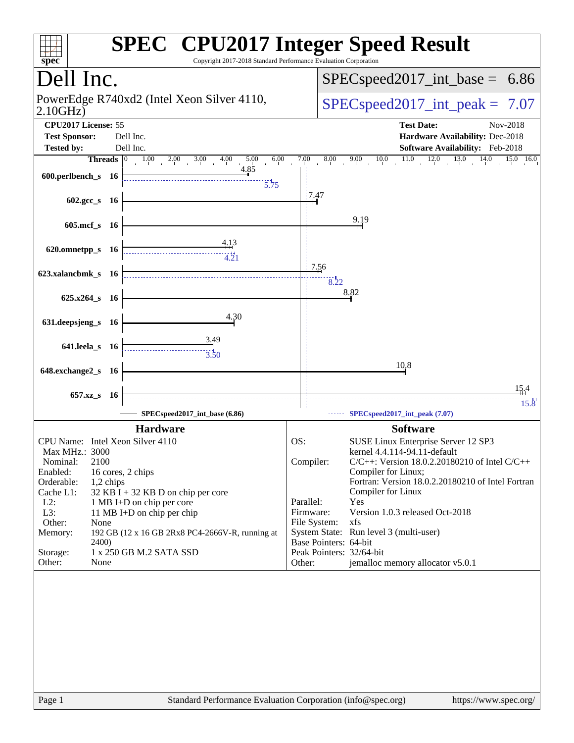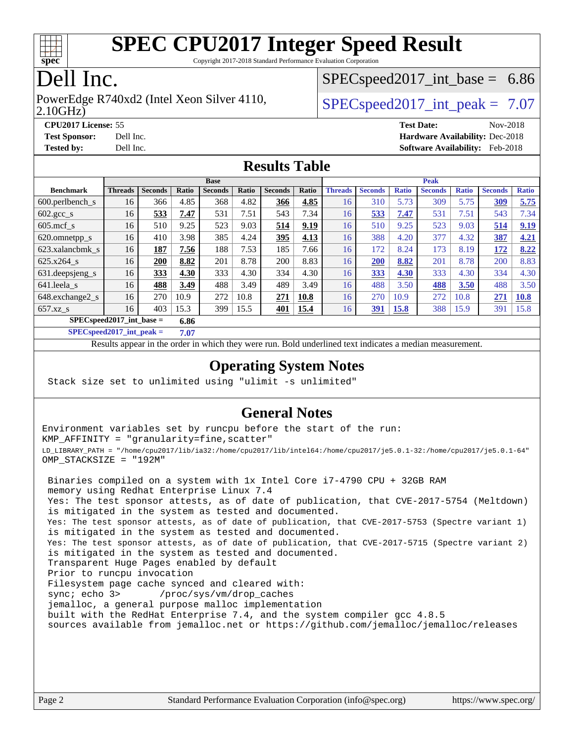

Copyright 2017-2018 Standard Performance Evaluation Corporation

# Dell Inc.

#### 2.10GHz) PowerEdge R740xd2 (Intel Xeon Silver 4110,  $\vert$  [SPECspeed2017\\_int\\_peak =](http://www.spec.org/auto/cpu2017/Docs/result-fields.html#SPECspeed2017intpeak) 7.07

 $SPECspeed2017\_int\_base = 6.86$ 

**[CPU2017 License:](http://www.spec.org/auto/cpu2017/Docs/result-fields.html#CPU2017License)** 55 **[Test Date:](http://www.spec.org/auto/cpu2017/Docs/result-fields.html#TestDate)** Nov-2018 **[Test Sponsor:](http://www.spec.org/auto/cpu2017/Docs/result-fields.html#TestSponsor)** Dell Inc. **[Hardware Availability:](http://www.spec.org/auto/cpu2017/Docs/result-fields.html#HardwareAvailability)** Dec-2018 **[Tested by:](http://www.spec.org/auto/cpu2017/Docs/result-fields.html#Testedby)** Dell Inc. **[Software Availability:](http://www.spec.org/auto/cpu2017/Docs/result-fields.html#SoftwareAvailability)** Feb-2018

### **[Results Table](http://www.spec.org/auto/cpu2017/Docs/result-fields.html#ResultsTable)**

|                              | <b>Base</b>    |                |       |                |       |                | <b>Peak</b> |                |                |              |                |              |                |              |
|------------------------------|----------------|----------------|-------|----------------|-------|----------------|-------------|----------------|----------------|--------------|----------------|--------------|----------------|--------------|
| <b>Benchmark</b>             | <b>Threads</b> | <b>Seconds</b> | Ratio | <b>Seconds</b> | Ratio | <b>Seconds</b> | Ratio       | <b>Threads</b> | <b>Seconds</b> | <b>Ratio</b> | <b>Seconds</b> | <b>Ratio</b> | <b>Seconds</b> | <b>Ratio</b> |
| 600.perlbench s              | 16             | 366            | 4.85  | 368            | 4.82  | 366            | 4.85        | 16             | 310            | 5.73         | 309            | 5.75         | 309            | 5.75         |
| $602.\text{gcc}\_\text{s}$   | 16             | 533            | 7.47  | 531            | 7.51  | 543            | 7.34        | 16             | 533            | 7.47         | 531            | 7.51         | 543            | 7.34         |
| $605$ .mcf s                 | 16             | 510            | 9.25  | 523            | 9.03  | 514            | 9.19        | 16             | 510            | 9.25         | 523            | 9.03         | 514            | 9.19         |
| 620.omnetpp_s                | 16             | 410            | 3.98  | 385            | 4.24  | 395            | 4.13        | 16             | 388            | 4.20         | 377            | 4.32         | 387            | 4.21         |
| 623.xalancbmk s              | 16             | 187            | 7.56  | 188            | 7.53  | 185            | 7.66        | 16             | 172            | 8.24         | 173            | 8.19         | 172            | 8.22         |
| 625.x264 s                   | 16             | 200            | 8.82  | 201            | 8.78  | 200            | 8.83        | 16             | <b>200</b>     | 8.82         | 201            | 8.78         | 200            | 8.83         |
| 631.deepsjeng_s              | 16             | 333            | 4.30  | 333            | 4.30  | 334            | 4.30        | 16             | 333            | 4.30         | 333            | 4.30         | 334            | 4.30         |
| 641.leela s                  | 16             | 488            | 3.49  | 488            | 3.49  | 489            | 3.49        | 16             | 488            | 3.50         | 488            | 3.50         | 488            | 3.50         |
| 648.exchange2_s              | 16             | 270            | 10.9  | 272            | 10.8  | 271            | 10.8        | 16             | 270            | 10.9         | 272            | 10.8         | 271            | 10.8         |
| $657.xz$ <sub>S</sub>        | 16             | 403            | 15.3  | 399            | 15.5  | 401            | 15.4        | 16             | 391            | 15.8         | 388            | 15.9         | 391            | 15.8         |
| $SPECspeed2017\_int\_base =$ |                |                | 6.86  |                |       |                |             |                |                |              |                |              |                |              |

**[SPECspeed2017\\_int\\_peak =](http://www.spec.org/auto/cpu2017/Docs/result-fields.html#SPECspeed2017intpeak) 7.07**

Results appear in the [order in which they were run.](http://www.spec.org/auto/cpu2017/Docs/result-fields.html#RunOrder) Bold underlined text [indicates a median measurement](http://www.spec.org/auto/cpu2017/Docs/result-fields.html#Median).

### **[Operating System Notes](http://www.spec.org/auto/cpu2017/Docs/result-fields.html#OperatingSystemNotes)**

Stack size set to unlimited using "ulimit -s unlimited"

#### **[General Notes](http://www.spec.org/auto/cpu2017/Docs/result-fields.html#GeneralNotes)**

Environment variables set by runcpu before the start of the run: KMP\_AFFINITY = "granularity=fine,scatter" LD\_LIBRARY\_PATH = "/home/cpu2017/lib/ia32:/home/cpu2017/lib/intel64:/home/cpu2017/je5.0.1-32:/home/cpu2017/je5.0.1-64" OMP\_STACKSIZE = "192M"

 Binaries compiled on a system with 1x Intel Core i7-4790 CPU + 32GB RAM memory using Redhat Enterprise Linux 7.4 Yes: The test sponsor attests, as of date of publication, that CVE-2017-5754 (Meltdown) is mitigated in the system as tested and documented. Yes: The test sponsor attests, as of date of publication, that CVE-2017-5753 (Spectre variant 1) is mitigated in the system as tested and documented. Yes: The test sponsor attests, as of date of publication, that CVE-2017-5715 (Spectre variant 2) is mitigated in the system as tested and documented. Transparent Huge Pages enabled by default Prior to runcpu invocation Filesystem page cache synced and cleared with: sync; echo 3> /proc/sys/vm/drop\_caches jemalloc, a general purpose malloc implementation built with the RedHat Enterprise 7.4, and the system compiler gcc 4.8.5 sources available from jemalloc.net or <https://github.com/jemalloc/jemalloc/releases>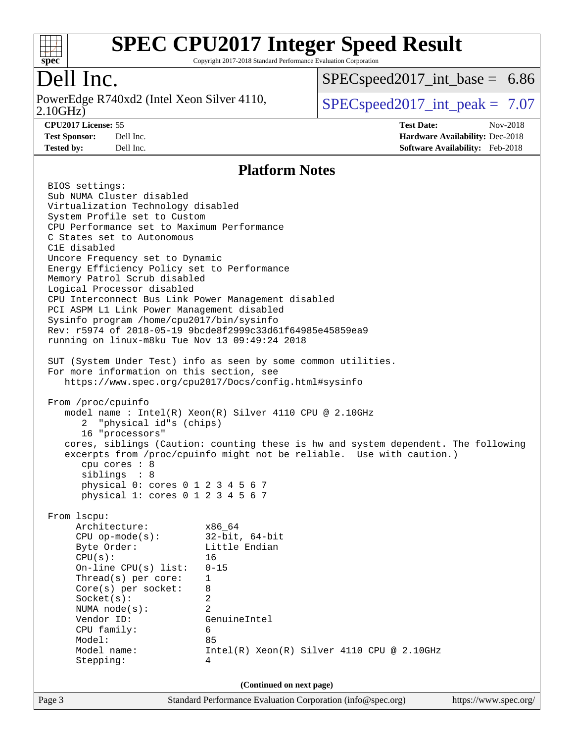

Copyright 2017-2018 Standard Performance Evaluation Corporation

# Dell Inc.

2.10GHz) PowerEdge R740xd2 (Intel Xeon Silver 4110,  $\vert$  [SPECspeed2017\\_int\\_peak =](http://www.spec.org/auto/cpu2017/Docs/result-fields.html#SPECspeed2017intpeak) 7.07

 $SPECspeed2017\_int\_base = 6.86$ 

**[Tested by:](http://www.spec.org/auto/cpu2017/Docs/result-fields.html#Testedby)** Dell Inc. **[Software Availability:](http://www.spec.org/auto/cpu2017/Docs/result-fields.html#SoftwareAvailability)** Feb-2018

**[CPU2017 License:](http://www.spec.org/auto/cpu2017/Docs/result-fields.html#CPU2017License)** 55 **[Test Date:](http://www.spec.org/auto/cpu2017/Docs/result-fields.html#TestDate)** Nov-2018 **[Test Sponsor:](http://www.spec.org/auto/cpu2017/Docs/result-fields.html#TestSponsor)** Dell Inc. **[Hardware Availability:](http://www.spec.org/auto/cpu2017/Docs/result-fields.html#HardwareAvailability)** Dec-2018

#### **[Platform Notes](http://www.spec.org/auto/cpu2017/Docs/result-fields.html#PlatformNotes)**

Page 3 Standard Performance Evaluation Corporation [\(info@spec.org\)](mailto:info@spec.org) <https://www.spec.org/> BIOS settings: Sub NUMA Cluster disabled Virtualization Technology disabled System Profile set to Custom CPU Performance set to Maximum Performance C States set to Autonomous C1E disabled Uncore Frequency set to Dynamic Energy Efficiency Policy set to Performance Memory Patrol Scrub disabled Logical Processor disabled CPU Interconnect Bus Link Power Management disabled PCI ASPM L1 Link Power Management disabled Sysinfo program /home/cpu2017/bin/sysinfo Rev: r5974 of 2018-05-19 9bcde8f2999c33d61f64985e45859ea9 running on linux-m8ku Tue Nov 13 09:49:24 2018 SUT (System Under Test) info as seen by some common utilities. For more information on this section, see <https://www.spec.org/cpu2017/Docs/config.html#sysinfo> From /proc/cpuinfo model name : Intel(R) Xeon(R) Silver 4110 CPU @ 2.10GHz 2 "physical id"s (chips) 16 "processors" cores, siblings (Caution: counting these is hw and system dependent. The following excerpts from /proc/cpuinfo might not be reliable. Use with caution.) cpu cores : 8 siblings : 8 physical 0: cores 0 1 2 3 4 5 6 7 physical 1: cores 0 1 2 3 4 5 6 7 From lscpu: Architecture: x86\_64 CPU op-mode(s): 32-bit, 64-bit Byte Order: Little Endian CPU(s): 16 On-line CPU(s) list: 0-15 Thread(s) per core: 1 Core(s) per socket: 8 Socket(s): 2 NUMA node(s): 2 Vendor ID: GenuineIntel CPU family: 6 Model: 85 Model name: Intel(R) Xeon(R) Silver 4110 CPU @ 2.10GHz Stepping: 4 **(Continued on next page)**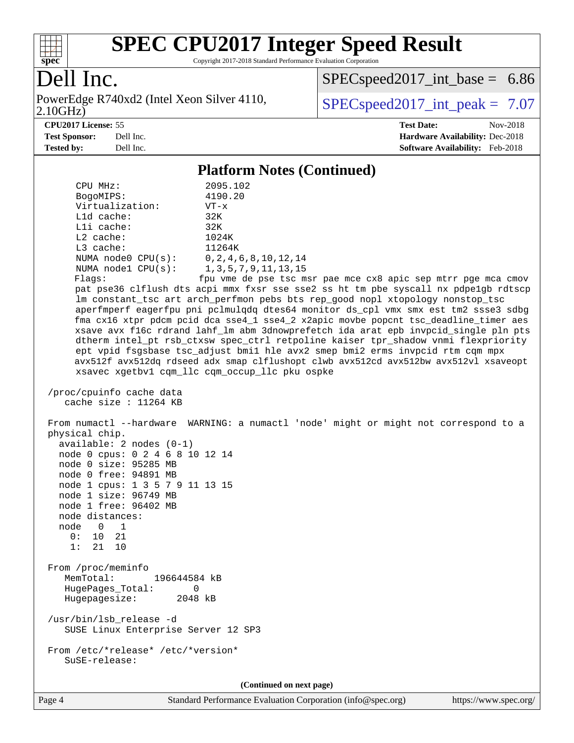

Copyright 2017-2018 Standard Performance Evaluation Corporation

# Dell Inc.

2.10GHz) PowerEdge R740xd2 (Intel Xeon Silver 4110,  $\text{SPEC speed2017\_int\_peak} = 7.07$ 

[SPECspeed2017\\_int\\_base =](http://www.spec.org/auto/cpu2017/Docs/result-fields.html#SPECspeed2017intbase) 6.86

**[CPU2017 License:](http://www.spec.org/auto/cpu2017/Docs/result-fields.html#CPU2017License)** 55 **[Test Date:](http://www.spec.org/auto/cpu2017/Docs/result-fields.html#TestDate)** Nov-2018 **[Test Sponsor:](http://www.spec.org/auto/cpu2017/Docs/result-fields.html#TestSponsor)** Dell Inc. **[Hardware Availability:](http://www.spec.org/auto/cpu2017/Docs/result-fields.html#HardwareAvailability)** Dec-2018 **[Tested by:](http://www.spec.org/auto/cpu2017/Docs/result-fields.html#Testedby)** Dell Inc. **[Software Availability:](http://www.spec.org/auto/cpu2017/Docs/result-fields.html#SoftwareAvailability)** Feb-2018

### **[Platform Notes \(Continued\)](http://www.spec.org/auto/cpu2017/Docs/result-fields.html#PlatformNotes)**

| CPU MHz:                                                                                                                                                                                                                                                                                          | 2095.102                                                                                                                                                                                                                                                                                                                                                                                                                                                                                                                                                                                                                                                                                                                                                  |
|---------------------------------------------------------------------------------------------------------------------------------------------------------------------------------------------------------------------------------------------------------------------------------------------------|-----------------------------------------------------------------------------------------------------------------------------------------------------------------------------------------------------------------------------------------------------------------------------------------------------------------------------------------------------------------------------------------------------------------------------------------------------------------------------------------------------------------------------------------------------------------------------------------------------------------------------------------------------------------------------------------------------------------------------------------------------------|
| BogoMIPS:                                                                                                                                                                                                                                                                                         | 4190.20                                                                                                                                                                                                                                                                                                                                                                                                                                                                                                                                                                                                                                                                                                                                                   |
| Virtualization:<br>L1d cache:                                                                                                                                                                                                                                                                     | $VT - x$<br>32K                                                                                                                                                                                                                                                                                                                                                                                                                                                                                                                                                                                                                                                                                                                                           |
| Lli cache:                                                                                                                                                                                                                                                                                        | 32K                                                                                                                                                                                                                                                                                                                                                                                                                                                                                                                                                                                                                                                                                                                                                       |
| L2 cache:                                                                                                                                                                                                                                                                                         | 1024K                                                                                                                                                                                                                                                                                                                                                                                                                                                                                                                                                                                                                                                                                                                                                     |
| L3 cache:                                                                                                                                                                                                                                                                                         | 11264K                                                                                                                                                                                                                                                                                                                                                                                                                                                                                                                                                                                                                                                                                                                                                    |
| NUMA node0 CPU(s): 0,2,4,6,8,10,12,14                                                                                                                                                                                                                                                             |                                                                                                                                                                                                                                                                                                                                                                                                                                                                                                                                                                                                                                                                                                                                                           |
| NUMA $node1$ $CPU(s):$                                                                                                                                                                                                                                                                            | 1, 3, 5, 7, 9, 11, 13, 15                                                                                                                                                                                                                                                                                                                                                                                                                                                                                                                                                                                                                                                                                                                                 |
| Flags:                                                                                                                                                                                                                                                                                            | fpu vme de pse tsc msr pae mce cx8 apic sep mtrr pge mca cmov                                                                                                                                                                                                                                                                                                                                                                                                                                                                                                                                                                                                                                                                                             |
|                                                                                                                                                                                                                                                                                                   | pat pse36 clflush dts acpi mmx fxsr sse sse2 ss ht tm pbe syscall nx pdpe1gb rdtscp<br>lm constant_tsc art arch_perfmon pebs bts rep_good nopl xtopology nonstop_tsc<br>aperfmperf eagerfpu pni pclmulqdq dtes64 monitor ds_cpl vmx smx est tm2 ssse3 sdbg<br>fma cx16 xtpr pdcm pcid dca sse4_1 sse4_2 x2apic movbe popcnt tsc_deadline_timer aes<br>xsave avx f16c rdrand lahf_lm abm 3dnowprefetch ida arat epb invpcid_single pln pts<br>dtherm intel_pt rsb_ctxsw spec_ctrl retpoline kaiser tpr_shadow vnmi flexpriority<br>ept vpid fsgsbase tsc_adjust bmil hle avx2 smep bmi2 erms invpcid rtm cqm mpx<br>avx512f avx512dq rdseed adx smap clflushopt clwb avx512cd avx512bw avx512vl xsaveopt<br>xsavec xgetbv1 cqm_llc cqm_occup_llc pku ospke |
| /proc/cpuinfo cache data<br>cache size : 11264 KB                                                                                                                                                                                                                                                 |                                                                                                                                                                                                                                                                                                                                                                                                                                                                                                                                                                                                                                                                                                                                                           |
| physical chip.<br>available: 2 nodes (0-1)<br>node 0 cpus: 0 2 4 6 8 10 12 14<br>node 0 size: 95285 MB<br>node 0 free: 94891 MB<br>node 1 cpus: 1 3 5 7 9 11 13 15<br>node 1 size: 96749 MB<br>node 1 free: 96402 MB<br>node distances:<br>node 0<br>$\overline{1}$<br>10 21<br>0:<br>1:<br>21 10 | From numactl --hardware WARNING: a numactl 'node' might or might not correspond to a                                                                                                                                                                                                                                                                                                                                                                                                                                                                                                                                                                                                                                                                      |
| From /proc/meminfo<br>MemTotal:<br>196644584 kB<br>HugePages_Total:<br>0<br>Hugepagesize:<br>2048 kB                                                                                                                                                                                              |                                                                                                                                                                                                                                                                                                                                                                                                                                                                                                                                                                                                                                                                                                                                                           |
| /usr/bin/lsb_release -d<br>SUSE Linux Enterprise Server 12 SP3                                                                                                                                                                                                                                    |                                                                                                                                                                                                                                                                                                                                                                                                                                                                                                                                                                                                                                                                                                                                                           |
| From /etc/*release* /etc/*version*<br>SuSE-release:                                                                                                                                                                                                                                               |                                                                                                                                                                                                                                                                                                                                                                                                                                                                                                                                                                                                                                                                                                                                                           |
|                                                                                                                                                                                                                                                                                                   | (Continued on next page)                                                                                                                                                                                                                                                                                                                                                                                                                                                                                                                                                                                                                                                                                                                                  |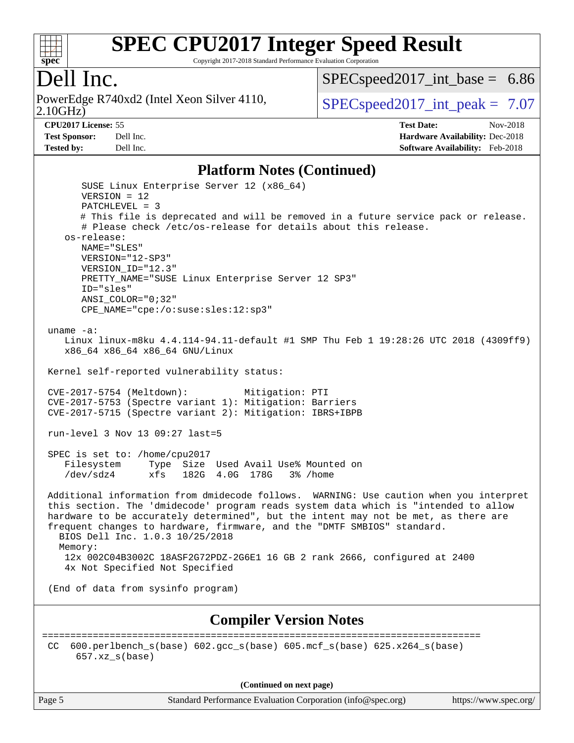

Copyright 2017-2018 Standard Performance Evaluation Corporation

# Dell Inc.

2.10GHz) PowerEdge R740xd2 (Intel Xeon Silver 4110,  $\text{SPEC speed2017\_int\_peak} = 7.07$ 

[SPECspeed2017\\_int\\_base =](http://www.spec.org/auto/cpu2017/Docs/result-fields.html#SPECspeed2017intbase) 6.86

#### **[CPU2017 License:](http://www.spec.org/auto/cpu2017/Docs/result-fields.html#CPU2017License)** 55 **[Test Date:](http://www.spec.org/auto/cpu2017/Docs/result-fields.html#TestDate)** Nov-2018

**[Test Sponsor:](http://www.spec.org/auto/cpu2017/Docs/result-fields.html#TestSponsor)** Dell Inc. **[Hardware Availability:](http://www.spec.org/auto/cpu2017/Docs/result-fields.html#HardwareAvailability)** Dec-2018 **[Tested by:](http://www.spec.org/auto/cpu2017/Docs/result-fields.html#Testedby)** Dell Inc. **[Software Availability:](http://www.spec.org/auto/cpu2017/Docs/result-fields.html#SoftwareAvailability)** Feb-2018

#### **[Platform Notes \(Continued\)](http://www.spec.org/auto/cpu2017/Docs/result-fields.html#PlatformNotes)**

| Thursday (Continueu)                                                                                                                                                                                                                                                                                                                                                                         |
|----------------------------------------------------------------------------------------------------------------------------------------------------------------------------------------------------------------------------------------------------------------------------------------------------------------------------------------------------------------------------------------------|
| SUSE Linux Enterprise Server 12 (x86_64)<br>$VERSION = 12$                                                                                                                                                                                                                                                                                                                                   |
| $PATCHLEVEL = 3$                                                                                                                                                                                                                                                                                                                                                                             |
| # This file is deprecated and will be removed in a future service pack or release.<br># Please check /etc/os-release for details about this release.                                                                                                                                                                                                                                         |
| os-release:                                                                                                                                                                                                                                                                                                                                                                                  |
| NAME="SLES"<br>VERSION="12-SP3"                                                                                                                                                                                                                                                                                                                                                              |
| VERSION_ID="12.3"                                                                                                                                                                                                                                                                                                                                                                            |
| PRETTY_NAME="SUSE Linux Enterprise Server 12 SP3"                                                                                                                                                                                                                                                                                                                                            |
| ID="sles"<br>$ANSI$ _COLOR=" $0:32$ "                                                                                                                                                                                                                                                                                                                                                        |
| CPE_NAME="cpe:/o:suse:sles:12:sp3"                                                                                                                                                                                                                                                                                                                                                           |
|                                                                                                                                                                                                                                                                                                                                                                                              |
| uname $-a$ :<br>Linux linux-m8ku 4.4.114-94.11-default #1 SMP Thu Feb 1 19:28:26 UTC 2018 (4309ff9)<br>x86_64 x86_64 x86_64 GNU/Linux                                                                                                                                                                                                                                                        |
| Kernel self-reported vulnerability status:                                                                                                                                                                                                                                                                                                                                                   |
| CVE-2017-5754 (Meltdown):<br>Mitigation: PTI<br>CVE-2017-5753 (Spectre variant 1): Mitigation: Barriers<br>CVE-2017-5715 (Spectre variant 2): Mitigation: IBRS+IBPB                                                                                                                                                                                                                          |
| run-level 3 Nov 13 09:27 last=5                                                                                                                                                                                                                                                                                                                                                              |
| SPEC is set to: /home/cpu2017<br>Filesystem<br>Type Size Used Avail Use% Mounted on<br>$/\text{dev}/\text{s}$ dz4<br>xfs 182G 4.0G 178G 3% /home                                                                                                                                                                                                                                             |
| Additional information from dmidecode follows. WARNING: Use caution when you interpret<br>this section. The 'dmidecode' program reads system data which is "intended to allow<br>hardware to be accurately determined", but the intent may not be met, as there are<br>frequent changes to hardware, firmware, and the "DMTF SMBIOS" standard.<br>BIOS Dell Inc. 1.0.3 10/25/2018<br>Memory: |
| 12x 002C04B3002C 18ASF2G72PDZ-2G6E1 16 GB 2 rank 2666, configured at 2400                                                                                                                                                                                                                                                                                                                    |
| 4x Not Specified Not Specified                                                                                                                                                                                                                                                                                                                                                               |
| (End of data from sysinfo program)                                                                                                                                                                                                                                                                                                                                                           |
| <b>Compiler Version Notes</b>                                                                                                                                                                                                                                                                                                                                                                |
| =============<br>$600. perlbench_s(base) 602. gcc_s(base) 605. mcf_s(base) 625. x264_s(base)$<br>CC.<br>$657.xz_s(base)$                                                                                                                                                                                                                                                                     |
| (Continued on next page)                                                                                                                                                                                                                                                                                                                                                                     |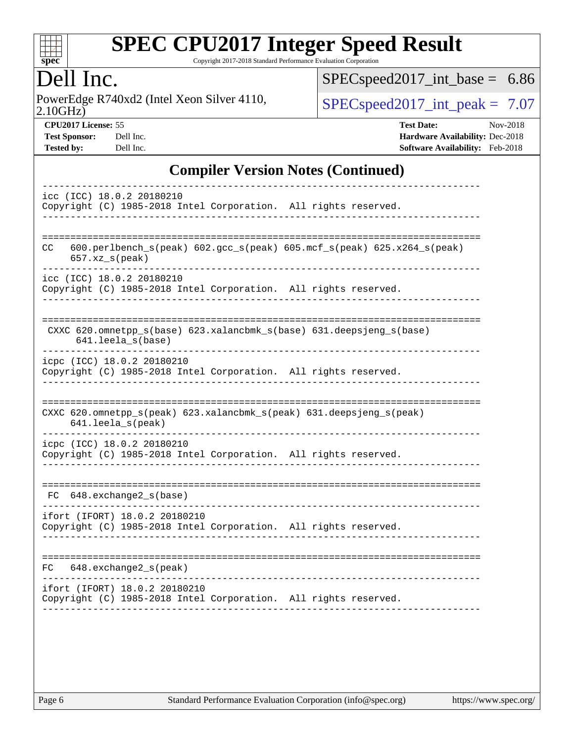

Copyright 2017-2018 Standard Performance Evaluation Corporation

# Dell Inc.

2.10GHz) PowerEdge R740xd2 (Intel Xeon Silver 4110,  $\text{SPEC speed2017\_int\_peak} = 7.07$ 

[SPECspeed2017\\_int\\_base =](http://www.spec.org/auto/cpu2017/Docs/result-fields.html#SPECspeed2017intbase) 6.86

**[CPU2017 License:](http://www.spec.org/auto/cpu2017/Docs/result-fields.html#CPU2017License)** 55 **[Test Date:](http://www.spec.org/auto/cpu2017/Docs/result-fields.html#TestDate)** Nov-2018 **[Test Sponsor:](http://www.spec.org/auto/cpu2017/Docs/result-fields.html#TestSponsor)** Dell Inc. **[Hardware Availability:](http://www.spec.org/auto/cpu2017/Docs/result-fields.html#HardwareAvailability)** Dec-2018 **[Tested by:](http://www.spec.org/auto/cpu2017/Docs/result-fields.html#Testedby)** Dell Inc. **[Software Availability:](http://www.spec.org/auto/cpu2017/Docs/result-fields.html#SoftwareAvailability)** Feb-2018

### **[Compiler Version Notes \(Continued\)](http://www.spec.org/auto/cpu2017/Docs/result-fields.html#CompilerVersionNotes)**

| icc (ICC) 18.0.2 20180210<br>Copyright (C) 1985-2018 Intel Corporation. All rights reserved.                                 |
|------------------------------------------------------------------------------------------------------------------------------|
| 600.perlbench_s(peak) 602.gcc_s(peak) 605.mcf_s(peak) 625.x264_s(peak)<br>CC.<br>$657. xz$ <sub>_<math>s</math></sub> (peak) |
| icc (ICC) 18.0.2 20180210<br>Copyright (C) 1985-2018 Intel Corporation. All rights reserved.                                 |
| CXXC 620.omnetpp_s(base) 623.xalancbmk_s(base) 631.deepsjeng_s(base)<br>641.leela s(base)                                    |
| icpc (ICC) 18.0.2 20180210<br>Copyright (C) 1985-2018 Intel Corporation. All rights reserved.                                |
| CXXC 620.omnetpp_s(peak) 623.xalancbmk_s(peak) 631.deepsjeng_s(peak)<br>641.leela_s(peak)                                    |
| icpc (ICC) 18.0.2 20180210<br>Copyright (C) 1985-2018 Intel Corporation. All rights reserved.                                |
| 648.exchange2_s(base)<br>FC                                                                                                  |
| ifort (IFORT) 18.0.2 20180210<br>Copyright (C) 1985-2018 Intel Corporation. All rights reserved.                             |
| ------------<br>$648$ . exchange $2_s$ (peak)<br>FC                                                                          |
| ifort (IFORT) 18.0.2 20180210<br>Copyright (C) 1985-2018 Intel Corporation. All rights reserved.                             |
|                                                                                                                              |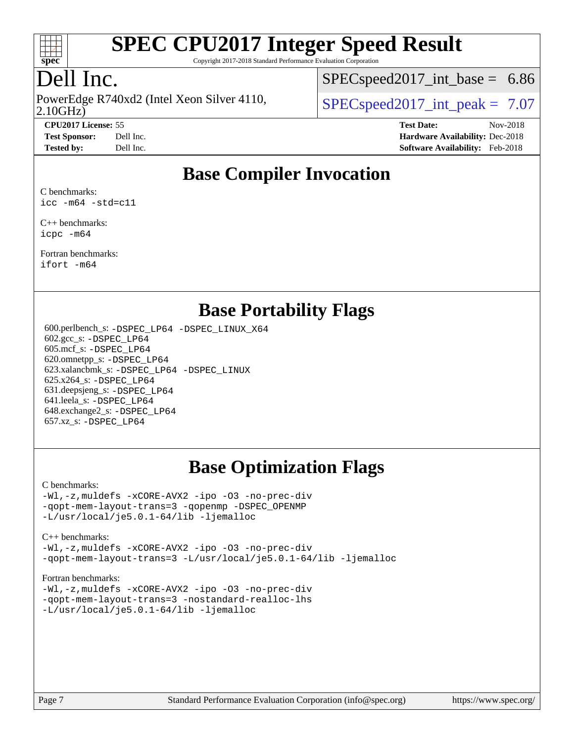

Copyright 2017-2018 Standard Performance Evaluation Corporation

# Dell Inc.

PowerEdge R740xd2 (Intel Xeon Silver 4110,<br>2.10GHz)

 $SPECspeed2017\_int\_base = 6.86$ 

 $SPECspeed2017\_int\_peak = 7.07$ 

**[CPU2017 License:](http://www.spec.org/auto/cpu2017/Docs/result-fields.html#CPU2017License)** 55 **[Test Date:](http://www.spec.org/auto/cpu2017/Docs/result-fields.html#TestDate)** Nov-2018 **[Test Sponsor:](http://www.spec.org/auto/cpu2017/Docs/result-fields.html#TestSponsor)** Dell Inc. **[Hardware Availability:](http://www.spec.org/auto/cpu2017/Docs/result-fields.html#HardwareAvailability)** Dec-2018 **[Tested by:](http://www.spec.org/auto/cpu2017/Docs/result-fields.html#Testedby)** Dell Inc. **[Software Availability:](http://www.spec.org/auto/cpu2017/Docs/result-fields.html#SoftwareAvailability)** Feb-2018

### **[Base Compiler Invocation](http://www.spec.org/auto/cpu2017/Docs/result-fields.html#BaseCompilerInvocation)**

[C benchmarks:](http://www.spec.org/auto/cpu2017/Docs/result-fields.html#Cbenchmarks) [icc -m64 -std=c11](http://www.spec.org/cpu2017/results/res2018q4/cpu2017-20181210-10214.flags.html#user_CCbase_intel_icc_64bit_c11_33ee0cdaae7deeeab2a9725423ba97205ce30f63b9926c2519791662299b76a0318f32ddfffdc46587804de3178b4f9328c46fa7c2b0cd779d7a61945c91cd35)

[C++ benchmarks:](http://www.spec.org/auto/cpu2017/Docs/result-fields.html#CXXbenchmarks) [icpc -m64](http://www.spec.org/cpu2017/results/res2018q4/cpu2017-20181210-10214.flags.html#user_CXXbase_intel_icpc_64bit_4ecb2543ae3f1412ef961e0650ca070fec7b7afdcd6ed48761b84423119d1bf6bdf5cad15b44d48e7256388bc77273b966e5eb805aefd121eb22e9299b2ec9d9)

[Fortran benchmarks](http://www.spec.org/auto/cpu2017/Docs/result-fields.html#Fortranbenchmarks): [ifort -m64](http://www.spec.org/cpu2017/results/res2018q4/cpu2017-20181210-10214.flags.html#user_FCbase_intel_ifort_64bit_24f2bb282fbaeffd6157abe4f878425411749daecae9a33200eee2bee2fe76f3b89351d69a8130dd5949958ce389cf37ff59a95e7a40d588e8d3a57e0c3fd751)

### **[Base Portability Flags](http://www.spec.org/auto/cpu2017/Docs/result-fields.html#BasePortabilityFlags)**

 600.perlbench\_s: [-DSPEC\\_LP64](http://www.spec.org/cpu2017/results/res2018q4/cpu2017-20181210-10214.flags.html#b600.perlbench_s_basePORTABILITY_DSPEC_LP64) [-DSPEC\\_LINUX\\_X64](http://www.spec.org/cpu2017/results/res2018q4/cpu2017-20181210-10214.flags.html#b600.perlbench_s_baseCPORTABILITY_DSPEC_LINUX_X64) 602.gcc\_s: [-DSPEC\\_LP64](http://www.spec.org/cpu2017/results/res2018q4/cpu2017-20181210-10214.flags.html#suite_basePORTABILITY602_gcc_s_DSPEC_LP64) 605.mcf\_s: [-DSPEC\\_LP64](http://www.spec.org/cpu2017/results/res2018q4/cpu2017-20181210-10214.flags.html#suite_basePORTABILITY605_mcf_s_DSPEC_LP64) 620.omnetpp\_s: [-DSPEC\\_LP64](http://www.spec.org/cpu2017/results/res2018q4/cpu2017-20181210-10214.flags.html#suite_basePORTABILITY620_omnetpp_s_DSPEC_LP64) 623.xalancbmk\_s: [-DSPEC\\_LP64](http://www.spec.org/cpu2017/results/res2018q4/cpu2017-20181210-10214.flags.html#suite_basePORTABILITY623_xalancbmk_s_DSPEC_LP64) [-DSPEC\\_LINUX](http://www.spec.org/cpu2017/results/res2018q4/cpu2017-20181210-10214.flags.html#b623.xalancbmk_s_baseCXXPORTABILITY_DSPEC_LINUX) 625.x264\_s: [-DSPEC\\_LP64](http://www.spec.org/cpu2017/results/res2018q4/cpu2017-20181210-10214.flags.html#suite_basePORTABILITY625_x264_s_DSPEC_LP64) 631.deepsjeng\_s: [-DSPEC\\_LP64](http://www.spec.org/cpu2017/results/res2018q4/cpu2017-20181210-10214.flags.html#suite_basePORTABILITY631_deepsjeng_s_DSPEC_LP64) 641.leela\_s: [-DSPEC\\_LP64](http://www.spec.org/cpu2017/results/res2018q4/cpu2017-20181210-10214.flags.html#suite_basePORTABILITY641_leela_s_DSPEC_LP64) 648.exchange2\_s: [-DSPEC\\_LP64](http://www.spec.org/cpu2017/results/res2018q4/cpu2017-20181210-10214.flags.html#suite_basePORTABILITY648_exchange2_s_DSPEC_LP64) 657.xz\_s: [-DSPEC\\_LP64](http://www.spec.org/cpu2017/results/res2018q4/cpu2017-20181210-10214.flags.html#suite_basePORTABILITY657_xz_s_DSPEC_LP64)

### **[Base Optimization Flags](http://www.spec.org/auto/cpu2017/Docs/result-fields.html#BaseOptimizationFlags)**

#### [C benchmarks](http://www.spec.org/auto/cpu2017/Docs/result-fields.html#Cbenchmarks):

[-Wl,-z,muldefs](http://www.spec.org/cpu2017/results/res2018q4/cpu2017-20181210-10214.flags.html#user_CCbase_link_force_multiple1_b4cbdb97b34bdee9ceefcfe54f4c8ea74255f0b02a4b23e853cdb0e18eb4525ac79b5a88067c842dd0ee6996c24547a27a4b99331201badda8798ef8a743f577) [-xCORE-AVX2](http://www.spec.org/cpu2017/results/res2018q4/cpu2017-20181210-10214.flags.html#user_CCbase_f-xCORE-AVX2) [-ipo](http://www.spec.org/cpu2017/results/res2018q4/cpu2017-20181210-10214.flags.html#user_CCbase_f-ipo) [-O3](http://www.spec.org/cpu2017/results/res2018q4/cpu2017-20181210-10214.flags.html#user_CCbase_f-O3) [-no-prec-div](http://www.spec.org/cpu2017/results/res2018q4/cpu2017-20181210-10214.flags.html#user_CCbase_f-no-prec-div) [-qopt-mem-layout-trans=3](http://www.spec.org/cpu2017/results/res2018q4/cpu2017-20181210-10214.flags.html#user_CCbase_f-qopt-mem-layout-trans_de80db37974c74b1f0e20d883f0b675c88c3b01e9d123adea9b28688d64333345fb62bc4a798493513fdb68f60282f9a726aa07f478b2f7113531aecce732043) [-qopenmp](http://www.spec.org/cpu2017/results/res2018q4/cpu2017-20181210-10214.flags.html#user_CCbase_qopenmp_16be0c44f24f464004c6784a7acb94aca937f053568ce72f94b139a11c7c168634a55f6653758ddd83bcf7b8463e8028bb0b48b77bcddc6b78d5d95bb1df2967) [-DSPEC\\_OPENMP](http://www.spec.org/cpu2017/results/res2018q4/cpu2017-20181210-10214.flags.html#suite_CCbase_DSPEC_OPENMP) [-L/usr/local/je5.0.1-64/lib](http://www.spec.org/cpu2017/results/res2018q4/cpu2017-20181210-10214.flags.html#user_CCbase_jemalloc_link_path64_4b10a636b7bce113509b17f3bd0d6226c5fb2346b9178c2d0232c14f04ab830f976640479e5c33dc2bcbbdad86ecfb6634cbbd4418746f06f368b512fced5394) [-ljemalloc](http://www.spec.org/cpu2017/results/res2018q4/cpu2017-20181210-10214.flags.html#user_CCbase_jemalloc_link_lib_d1249b907c500fa1c0672f44f562e3d0f79738ae9e3c4a9c376d49f265a04b9c99b167ecedbf6711b3085be911c67ff61f150a17b3472be731631ba4d0471706)

#### [C++ benchmarks:](http://www.spec.org/auto/cpu2017/Docs/result-fields.html#CXXbenchmarks)

[-Wl,-z,muldefs](http://www.spec.org/cpu2017/results/res2018q4/cpu2017-20181210-10214.flags.html#user_CXXbase_link_force_multiple1_b4cbdb97b34bdee9ceefcfe54f4c8ea74255f0b02a4b23e853cdb0e18eb4525ac79b5a88067c842dd0ee6996c24547a27a4b99331201badda8798ef8a743f577) [-xCORE-AVX2](http://www.spec.org/cpu2017/results/res2018q4/cpu2017-20181210-10214.flags.html#user_CXXbase_f-xCORE-AVX2) [-ipo](http://www.spec.org/cpu2017/results/res2018q4/cpu2017-20181210-10214.flags.html#user_CXXbase_f-ipo) [-O3](http://www.spec.org/cpu2017/results/res2018q4/cpu2017-20181210-10214.flags.html#user_CXXbase_f-O3) [-no-prec-div](http://www.spec.org/cpu2017/results/res2018q4/cpu2017-20181210-10214.flags.html#user_CXXbase_f-no-prec-div) [-qopt-mem-layout-trans=3](http://www.spec.org/cpu2017/results/res2018q4/cpu2017-20181210-10214.flags.html#user_CXXbase_f-qopt-mem-layout-trans_de80db37974c74b1f0e20d883f0b675c88c3b01e9d123adea9b28688d64333345fb62bc4a798493513fdb68f60282f9a726aa07f478b2f7113531aecce732043) [-L/usr/local/je5.0.1-64/lib](http://www.spec.org/cpu2017/results/res2018q4/cpu2017-20181210-10214.flags.html#user_CXXbase_jemalloc_link_path64_4b10a636b7bce113509b17f3bd0d6226c5fb2346b9178c2d0232c14f04ab830f976640479e5c33dc2bcbbdad86ecfb6634cbbd4418746f06f368b512fced5394) [-ljemalloc](http://www.spec.org/cpu2017/results/res2018q4/cpu2017-20181210-10214.flags.html#user_CXXbase_jemalloc_link_lib_d1249b907c500fa1c0672f44f562e3d0f79738ae9e3c4a9c376d49f265a04b9c99b167ecedbf6711b3085be911c67ff61f150a17b3472be731631ba4d0471706)

#### [Fortran benchmarks](http://www.spec.org/auto/cpu2017/Docs/result-fields.html#Fortranbenchmarks):

[-Wl,-z,muldefs](http://www.spec.org/cpu2017/results/res2018q4/cpu2017-20181210-10214.flags.html#user_FCbase_link_force_multiple1_b4cbdb97b34bdee9ceefcfe54f4c8ea74255f0b02a4b23e853cdb0e18eb4525ac79b5a88067c842dd0ee6996c24547a27a4b99331201badda8798ef8a743f577) [-xCORE-AVX2](http://www.spec.org/cpu2017/results/res2018q4/cpu2017-20181210-10214.flags.html#user_FCbase_f-xCORE-AVX2) [-ipo](http://www.spec.org/cpu2017/results/res2018q4/cpu2017-20181210-10214.flags.html#user_FCbase_f-ipo) [-O3](http://www.spec.org/cpu2017/results/res2018q4/cpu2017-20181210-10214.flags.html#user_FCbase_f-O3) [-no-prec-div](http://www.spec.org/cpu2017/results/res2018q4/cpu2017-20181210-10214.flags.html#user_FCbase_f-no-prec-div) [-qopt-mem-layout-trans=3](http://www.spec.org/cpu2017/results/res2018q4/cpu2017-20181210-10214.flags.html#user_FCbase_f-qopt-mem-layout-trans_de80db37974c74b1f0e20d883f0b675c88c3b01e9d123adea9b28688d64333345fb62bc4a798493513fdb68f60282f9a726aa07f478b2f7113531aecce732043) [-nostandard-realloc-lhs](http://www.spec.org/cpu2017/results/res2018q4/cpu2017-20181210-10214.flags.html#user_FCbase_f_2003_std_realloc_82b4557e90729c0f113870c07e44d33d6f5a304b4f63d4c15d2d0f1fab99f5daaed73bdb9275d9ae411527f28b936061aa8b9c8f2d63842963b95c9dd6426b8a) [-L/usr/local/je5.0.1-64/lib](http://www.spec.org/cpu2017/results/res2018q4/cpu2017-20181210-10214.flags.html#user_FCbase_jemalloc_link_path64_4b10a636b7bce113509b17f3bd0d6226c5fb2346b9178c2d0232c14f04ab830f976640479e5c33dc2bcbbdad86ecfb6634cbbd4418746f06f368b512fced5394) [-ljemalloc](http://www.spec.org/cpu2017/results/res2018q4/cpu2017-20181210-10214.flags.html#user_FCbase_jemalloc_link_lib_d1249b907c500fa1c0672f44f562e3d0f79738ae9e3c4a9c376d49f265a04b9c99b167ecedbf6711b3085be911c67ff61f150a17b3472be731631ba4d0471706)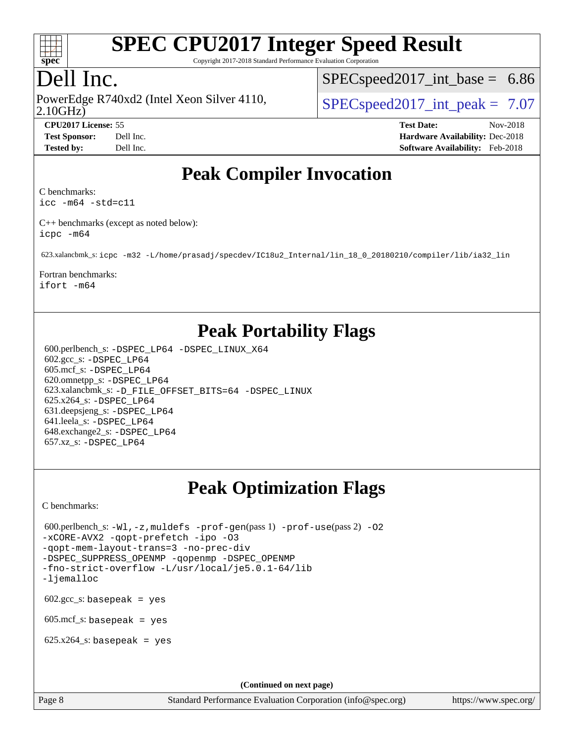

Copyright 2017-2018 Standard Performance Evaluation Corporation

# Dell Inc.

2.10GHz) PowerEdge R740xd2 (Intel Xeon Silver 4110,  $\vert$  [SPECspeed2017\\_int\\_peak =](http://www.spec.org/auto/cpu2017/Docs/result-fields.html#SPECspeed2017intpeak) 7.07

 $SPECspeed2017\_int\_base = 6.86$ 

**[CPU2017 License:](http://www.spec.org/auto/cpu2017/Docs/result-fields.html#CPU2017License)** 55 **[Test Date:](http://www.spec.org/auto/cpu2017/Docs/result-fields.html#TestDate)** Nov-2018 **[Test Sponsor:](http://www.spec.org/auto/cpu2017/Docs/result-fields.html#TestSponsor)** Dell Inc. **[Hardware Availability:](http://www.spec.org/auto/cpu2017/Docs/result-fields.html#HardwareAvailability)** Dec-2018 **[Tested by:](http://www.spec.org/auto/cpu2017/Docs/result-fields.html#Testedby)** Dell Inc. **[Software Availability:](http://www.spec.org/auto/cpu2017/Docs/result-fields.html#SoftwareAvailability)** Feb-2018

# **[Peak Compiler Invocation](http://www.spec.org/auto/cpu2017/Docs/result-fields.html#PeakCompilerInvocation)**

[C benchmarks](http://www.spec.org/auto/cpu2017/Docs/result-fields.html#Cbenchmarks):

[icc -m64 -std=c11](http://www.spec.org/cpu2017/results/res2018q4/cpu2017-20181210-10214.flags.html#user_CCpeak_intel_icc_64bit_c11_33ee0cdaae7deeeab2a9725423ba97205ce30f63b9926c2519791662299b76a0318f32ddfffdc46587804de3178b4f9328c46fa7c2b0cd779d7a61945c91cd35)

[C++ benchmarks \(except as noted below\)](http://www.spec.org/auto/cpu2017/Docs/result-fields.html#CXXbenchmarksexceptasnotedbelow): [icpc -m64](http://www.spec.org/cpu2017/results/res2018q4/cpu2017-20181210-10214.flags.html#user_CXXpeak_intel_icpc_64bit_4ecb2543ae3f1412ef961e0650ca070fec7b7afdcd6ed48761b84423119d1bf6bdf5cad15b44d48e7256388bc77273b966e5eb805aefd121eb22e9299b2ec9d9)

623.xalancbmk\_s: [icpc -m32 -L/home/prasadj/specdev/IC18u2\\_Internal/lin\\_18\\_0\\_20180210/compiler/lib/ia32\\_lin](http://www.spec.org/cpu2017/results/res2018q4/cpu2017-20181210-10214.flags.html#user_peakCXXLD623_xalancbmk_s_intel_icpc_c6d030cd79af6ea7d6fb64c57e8fe7ae8fe0b96fc5a3b3f4a10e3273b3d7fa9decd8263f6330cef23f751cb093a69fae84a2bf4c243500a8eed069248128076f)

[Fortran benchmarks](http://www.spec.org/auto/cpu2017/Docs/result-fields.html#Fortranbenchmarks):

[ifort -m64](http://www.spec.org/cpu2017/results/res2018q4/cpu2017-20181210-10214.flags.html#user_FCpeak_intel_ifort_64bit_24f2bb282fbaeffd6157abe4f878425411749daecae9a33200eee2bee2fe76f3b89351d69a8130dd5949958ce389cf37ff59a95e7a40d588e8d3a57e0c3fd751)

# **[Peak Portability Flags](http://www.spec.org/auto/cpu2017/Docs/result-fields.html#PeakPortabilityFlags)**

 600.perlbench\_s: [-DSPEC\\_LP64](http://www.spec.org/cpu2017/results/res2018q4/cpu2017-20181210-10214.flags.html#b600.perlbench_s_peakPORTABILITY_DSPEC_LP64) [-DSPEC\\_LINUX\\_X64](http://www.spec.org/cpu2017/results/res2018q4/cpu2017-20181210-10214.flags.html#b600.perlbench_s_peakCPORTABILITY_DSPEC_LINUX_X64) 602.gcc\_s: [-DSPEC\\_LP64](http://www.spec.org/cpu2017/results/res2018q4/cpu2017-20181210-10214.flags.html#suite_peakPORTABILITY602_gcc_s_DSPEC_LP64) 605.mcf\_s: [-DSPEC\\_LP64](http://www.spec.org/cpu2017/results/res2018q4/cpu2017-20181210-10214.flags.html#suite_peakPORTABILITY605_mcf_s_DSPEC_LP64) 620.omnetpp\_s: [-DSPEC\\_LP64](http://www.spec.org/cpu2017/results/res2018q4/cpu2017-20181210-10214.flags.html#suite_peakPORTABILITY620_omnetpp_s_DSPEC_LP64) 623.xalancbmk\_s: [-D\\_FILE\\_OFFSET\\_BITS=64](http://www.spec.org/cpu2017/results/res2018q4/cpu2017-20181210-10214.flags.html#user_peakPORTABILITY623_xalancbmk_s_file_offset_bits_64_5ae949a99b284ddf4e95728d47cb0843d81b2eb0e18bdfe74bbf0f61d0b064f4bda2f10ea5eb90e1dcab0e84dbc592acfc5018bc955c18609f94ddb8d550002c) [-DSPEC\\_LINUX](http://www.spec.org/cpu2017/results/res2018q4/cpu2017-20181210-10214.flags.html#b623.xalancbmk_s_peakCXXPORTABILITY_DSPEC_LINUX) 625.x264\_s: [-DSPEC\\_LP64](http://www.spec.org/cpu2017/results/res2018q4/cpu2017-20181210-10214.flags.html#suite_peakPORTABILITY625_x264_s_DSPEC_LP64) 631.deepsjeng\_s: [-DSPEC\\_LP64](http://www.spec.org/cpu2017/results/res2018q4/cpu2017-20181210-10214.flags.html#suite_peakPORTABILITY631_deepsjeng_s_DSPEC_LP64) 641.leela\_s: [-DSPEC\\_LP64](http://www.spec.org/cpu2017/results/res2018q4/cpu2017-20181210-10214.flags.html#suite_peakPORTABILITY641_leela_s_DSPEC_LP64) 648.exchange2\_s: [-DSPEC\\_LP64](http://www.spec.org/cpu2017/results/res2018q4/cpu2017-20181210-10214.flags.html#suite_peakPORTABILITY648_exchange2_s_DSPEC_LP64) 657.xz\_s: [-DSPEC\\_LP64](http://www.spec.org/cpu2017/results/res2018q4/cpu2017-20181210-10214.flags.html#suite_peakPORTABILITY657_xz_s_DSPEC_LP64)

# **[Peak Optimization Flags](http://www.spec.org/auto/cpu2017/Docs/result-fields.html#PeakOptimizationFlags)**

[C benchmarks](http://www.spec.org/auto/cpu2017/Docs/result-fields.html#Cbenchmarks):

```
600.perlbench_s: -W1, -z, muldefs -prof-gen(pass 1) -prof-use(pass 2)-O2
-xCORE-AVX2 -qopt-prefetch -ipo -O3
-qopt-mem-layout-trans=3 -no-prec-div
-DSPEC_SUPPRESS_OPENMP -qopenmp -DSPEC_OPENMP
-fno-strict-overflow -L/usr/local/je5.0.1-64/lib
-ljemalloc
602.\text{gcc}\_\text{s}: basepeak = yes
605 \text{.mcf}\text{-}\mathrm{s}: basepeak = yes
625.x264_s: basepeak = yes
                                           (Continued on next page)
```